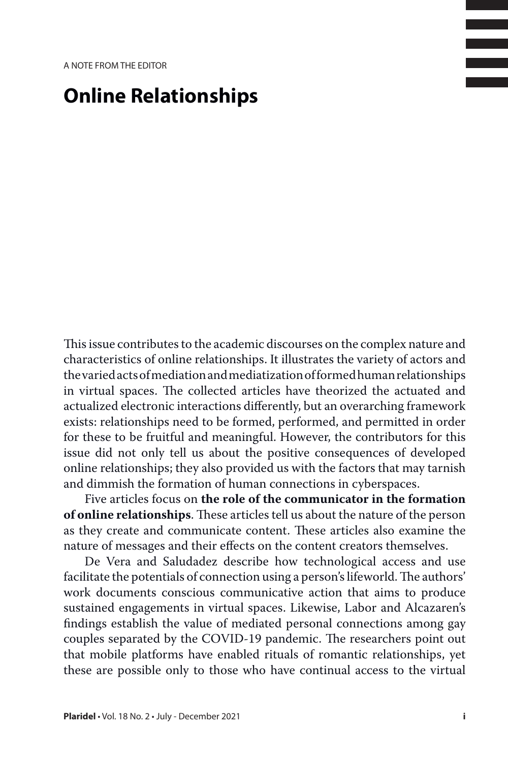## **Online Relationships**

This issue contributes to the academic discourses on the complex nature and characteristics of online relationships. It illustrates the variety of actors and the varied acts of mediation and mediatization of formed human relationships in virtual spaces. The collected articles have theorized the actuated and actualized electronic interactions differently, but an overarching framework exists: relationships need to be formed, performed, and permitted in order for these to be fruitful and meaningful. However, the contributors for this issue did not only tell us about the positive consequences of developed online relationships; they also provided us with the factors that may tarnish and dimmish the formation of human connections in cyberspaces.

Five articles focus on **the role of the communicator in the formation of online relationships**. These articles tell us about the nature of the person as they create and communicate content. These articles also examine the nature of messages and their effects on the content creators themselves.

De Vera and Saludadez describe how technological access and use facilitate the potentials of connection using a person's lifeworld. The authors' work documents conscious communicative action that aims to produce sustained engagements in virtual spaces. Likewise, Labor and Alcazaren's findings establish the value of mediated personal connections among gay couples separated by the COVID-19 pandemic. The researchers point out that mobile platforms have enabled rituals of romantic relationships, yet these are possible only to those who have continual access to the virtual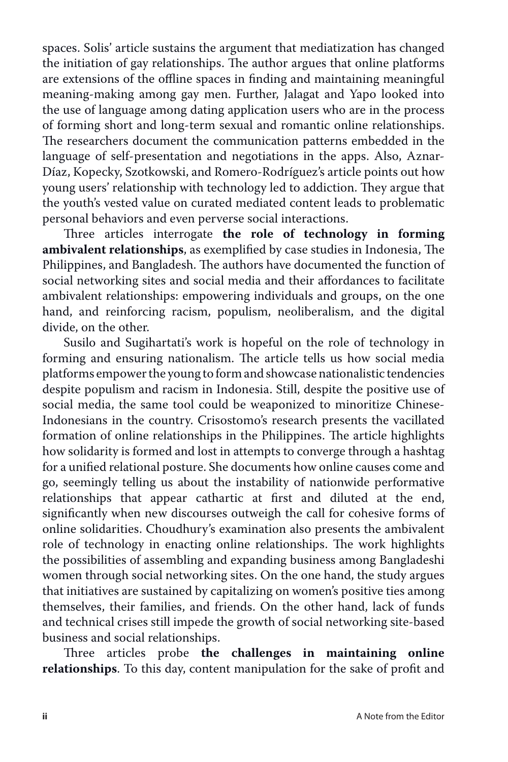spaces. Solis' article sustains the argument that mediatization has changed the initiation of gay relationships. The author argues that online platforms are extensions of the offline spaces in finding and maintaining meaningful meaning-making among gay men. Further, Jalagat and Yapo looked into the use of language among dating application users who are in the process of forming short and long-term sexual and romantic online relationships. The researchers document the communication patterns embedded in the language of self-presentation and negotiations in the apps. Also, Aznar-Díaz, Kopecky, Szotkowski, and Romero-Rodríguez's article points out how young users' relationship with technology led to addiction. They argue that the youth's vested value on curated mediated content leads to problematic personal behaviors and even perverse social interactions.

Three articles interrogate **the role of technology in forming ambivalent relationships**, as exemplified by case studies in Indonesia, The Philippines, and Bangladesh. The authors have documented the function of social networking sites and social media and their affordances to facilitate ambivalent relationships: empowering individuals and groups, on the one hand, and reinforcing racism, populism, neoliberalism, and the digital divide, on the other.

Susilo and Sugihartati's work is hopeful on the role of technology in forming and ensuring nationalism. The article tells us how social media platforms empower the young to form and showcase nationalistic tendencies despite populism and racism in Indonesia. Still, despite the positive use of social media, the same tool could be weaponized to minoritize Chinese-Indonesians in the country. Crisostomo's research presents the vacillated formation of online relationships in the Philippines. The article highlights how solidarity is formed and lost in attempts to converge through a hashtag for a unified relational posture. She documents how online causes come and go, seemingly telling us about the instability of nationwide performative relationships that appear cathartic at first and diluted at the end, significantly when new discourses outweigh the call for cohesive forms of online solidarities. Choudhury's examination also presents the ambivalent role of technology in enacting online relationships. The work highlights the possibilities of assembling and expanding business among Bangladeshi women through social networking sites. On the one hand, the study argues that initiatives are sustained by capitalizing on women's positive ties among themselves, their families, and friends. On the other hand, lack of funds and technical crises still impede the growth of social networking site-based business and social relationships.

Three articles probe **the challenges in maintaining online relationships**. To this day, content manipulation for the sake of profit and